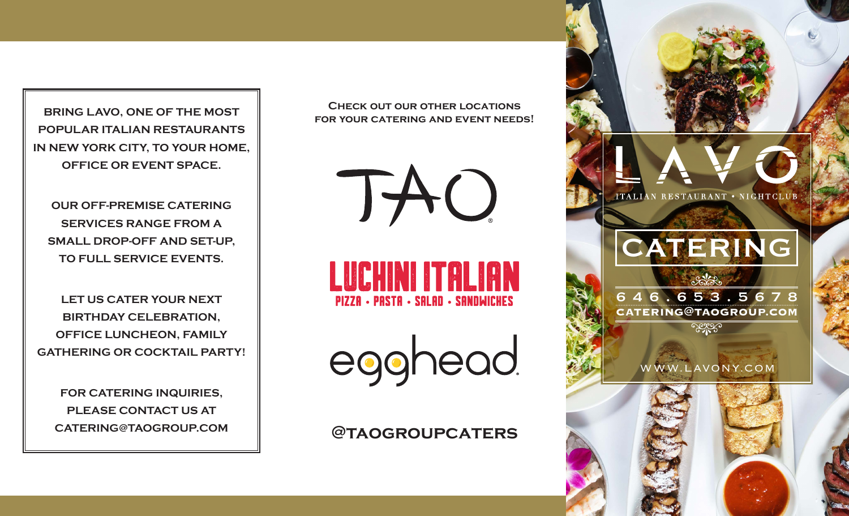**BRING LAVO, ONE OF THE MOST POPULAR ITALIAN RESTAURANTS IN NEW YORK CITY, TO YOUR HOME, OFFICE OR EVENT SPACE.**

**OUR OFF-PREMISE CATERING SERVICES RANGE FROM A SMALL DROP-OFF AND SET-UP, TO FULL SERVICE EVENTS.**

**LET US CATER YOUR NEXT BIRTHDAY CELEBRATION, OFFICE LUNCHEON, FAMILY GATHERING OR COCKTAIL PARTY!**

**FOR CATERING INQUIRIES, PLEASE CONTACT US AT**

**Check out our other locations for your catering and event needs!**

LUCHINI ITALIAN **PIZZA - PASTA - SALAD - SANDWICHES** 

TAU

egghead

**CATERING@TAOGROUP.COM @taogroupcaters**